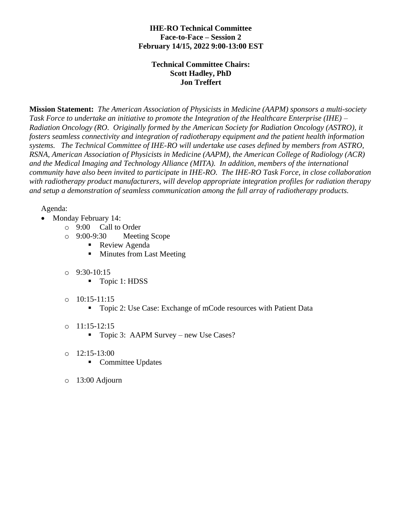## **IHE-RO Technical Committee Face-to-Face – Session 2 February 14/15, 2022 9:00-13:00 EST**

## **Technical Committee Chairs: Scott Hadley, PhD Jon Treffert**

**Mission Statement:** *The American Association of Physicists in Medicine (AAPM) sponsors a multi-society Task Force to undertake an initiative to promote the Integration of the Healthcare Enterprise (IHE) – Radiation Oncology (RO. Originally formed by the American Society for Radiation Oncology (ASTRO), it fosters seamless connectivity and integration of radiotherapy equipment and the patient health information systems. The Technical Committee of IHE-RO will undertake use cases defined by members from ASTRO, RSNA, American Association of Physicists in Medicine (AAPM), the American College of Radiology (ACR) and the Medical [Imaging](mailto:I@medicalimaging.orgmging) and Technology Alliance (MITA). In addition, members of the international community have also been invited to participate in IHE-RO. The IHE-RO Task Force, in close collaboration with radiotherapy product manufacturers, will develop appropriate integration profiles for radiation therapy and setup a demonstration of seamless communication among the full array of radiotherapy products.*

## Agenda:

- Monday February 14:
	- o 9:00 Call to Order
	- o 9:00-9:30 Meeting Scope
		- Review Agenda
		- Minutes from Last Meeting
	- o 9:30-10:15
		- Topic 1: HDSS
	- $\circ$  10:15-11:15
		- Topic 2: Use Case: Exchange of mCode resources with Patient Data
	- o 11:15-12:15
		- Topic 3: AAPM Survey new Use Cases?
	- $\circ$  12:15-13:00
		- Committee Updates
	- o 13:00 Adjourn